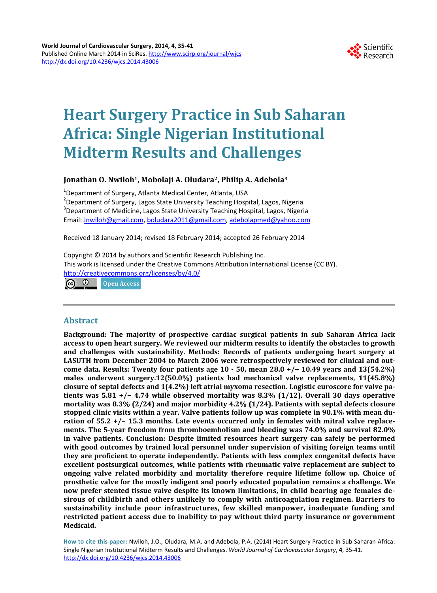

# **Heart Surgery Practice in Sub Saharan Africa: Single Nigerian Institutional Midterm Results and Challenges**

# **Jonathan O. Nwiloh1, Mobolaji A. Oludara2, Philip A. Adebola3**

<sup>1</sup>Department of Surgery, Atlanta Medical Center, Atlanta, USA<br><sup>2</sup>Department of Surgery, Lages State University Teaching Hesr <sup>2</sup>Department of Surgery, Lagos State University Teaching Hospital, Lagos, Nigeria <sup>3</sup>Department of Medicine, Lagos State University Teaching Hospital, Lagos, Nigeria Email: [Jnwiloh@gmail.com,](mailto:Jnwiloh@gmail.com) [boludara2011@gmail.com,](mailto:boludara2011@gmail.com) [adebolapmed@yahoo.com](mailto:adebolapmed@yahoo.com)

Received 18 January 2014; revised 18 February 2014; accepted 26 February 2014

Copyright © 2014 by authors and Scientific Research Publishing Inc. This work is licensed under the Creative Commons Attribution International License (CC BY). <http://creativecommons.org/licenses/by/4.0/>

 $\odot$   $\odot$ **Open Access** 

# **Abstract**

**Background: The majority of prospective cardiac surgical patients in sub Saharan Africa lack access to open heart surgery. We reviewed our midterm results to identify the obstacles to growth and challenges with sustainability. Methods: Records of patients undergoing heart surgery at LASUTH from December 2004 to March 2006 were retrospectively reviewed for clinical and outcome data. Results: Twenty four patients age 10 - 50, mean 28.0 +/− 10.49 years and 13(54.2%) males underwent surgery.12(50.0%) patients had mechanical valve replacements, 11(45.8%) closure of septal defects and 1(4.2%) left atrial myxoma resection. Logistic euroscore for valve patients was 5.81 +/− 4.74 while observed mortality was 8.3% (1/12). Overall 30 days operative mortality was 8.3% (2/24) and major morbidity 4.2% (1/24). Patients with septal defects closure stopped clinic visits within a year. Valve patients follow up was complete in 90.1% with mean duration of 55.2 +/− 15.3 months. Late events occurred only in females with mitral valve replacements. The 5-year freedom from thromboembolism and bleeding was 74.0% and survival 82.0% in valve patients. Conclusion: Despite limited resources heart surgery can safely be performed with good outcomes by trained local personnel under supervision of visiting foreign teams until they are proficient to operate independently. Patients with less complex congenital defects have excellent postsurgical outcomes, while patients with rheumatic valve replacement are subject to ongoing valve related morbidity and mortality therefore require lifetime follow up. Choice of prosthetic valve for the mostly indigent and poorly educated population remains a challenge. We now prefer stented tissue valve despite its known limitations, in child bearing age females desirous of childbirth and others unlikely to comply with anticoagulation regimen. Barriers to sustainability include poor infrastructures, few skilled manpower, inadequate funding and restricted patient access due to inability to pay without third party insurance or government Medicaid.**

**How to cite this paper:** Nwiloh, J.O., Oludara, M.A. and Adebola, P.A. (2014) Heart Surgery Practice in Sub Saharan Africa: Single Nigerian Institutional Midterm Results and Challenges. *World Journal of Cardiovascular Surgery*, **4**, 35-41. <http://dx.doi.org/10.4236/wjcs.2014.43006>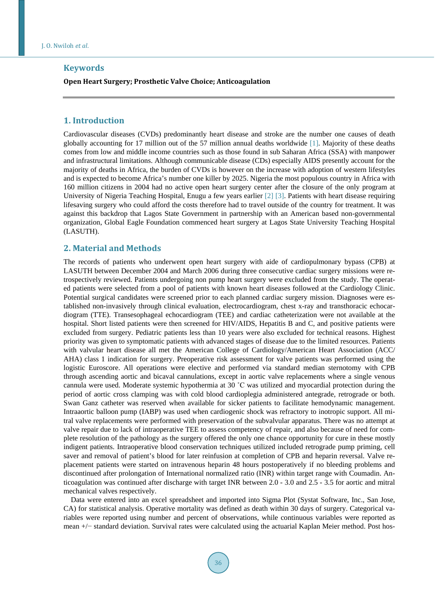## **Keywords**

#### **Open Heart Surgery; Prosthetic Valve Choice; Anticoagulation**

### **1. Introduction**

Cardiovascular diseases (CVDs) predominantly heart disease and stroke are the number one causes of death globally accounting for 17 million out of the 57 million annual deaths worldwide [\[1\].](#page-6-0) Majority of these deaths comes from low and middle income countries such as those found in sub Saharan Africa (SSA) with manpower and infrastructural limitations. Although communicable disease (CDs) especially AIDS presently account for the majority of deaths in Africa, the burden of CVDs is however on the increase with adoption of western lifestyles and is expected to become Africa's number one killer by 2025. Nigeria the most populous country in Africa with 160 million citizens in 2004 had no active open heart surgery center after the closure of the only program at University of Nigeria Teaching Hospital, Enugu a few years earlier [\[2\]](#page-6-1) [\[3\].](#page-6-2) Patients with heart disease requiring lifesaving surgery who could afford the costs therefore had to travel outside of the country for treatment. It was against this backdrop that Lagos State Government in partnership with an American based non-governmental organization, Global Eagle Foundation commenced heart surgery at Lagos State University Teaching Hospital (LASUTH).

#### **2. Material and Methods**

The records of patients who underwent open heart surgery with aide of cardiopulmonary bypass (CPB) at LASUTH between December 2004 and March 2006 during three consecutive cardiac surgery missions were retrospectively reviewed. Patients undergoing non pump heart surgery were excluded from the study. The operated patients were selected from a pool of patients with known heart diseases followed at the Cardiology Clinic. Potential surgical candidates were screened prior to each planned cardiac surgery mission. Diagnoses were established non-invasively through clinical evaluation, electrocardiogram, chest x-ray and transthoracic echocardiogram (TTE). Transesophageal echocardiogram (TEE) and cardiac catheterization were not available at the hospital. Short listed patients were then screened for HIV/AIDS, Hepatitis B and C, and positive patients were excluded from surgery. Pediatric patients less than 10 years were also excluded for technical reasons. Highest priority was given to symptomatic patients with advanced stages of disease due to the limited resources. Patients with valvular heart disease all met the American College of Cardiology/American Heart Association (ACC/ AHA) class 1 indication for surgery. Preoperative risk assessment for valve patients was performed using the logistic Euroscore. All operations were elective and performed via standard median sternotomy with CPB through ascending aortic and bicaval cannulations, except in aortic valve replacements where a single venous cannula were used. Moderate systemic hypothermia at 30 ˚C was utilized and myocardial protection during the period of aortic cross clamping was with cold blood cardioplegia administered antegrade, retrograde or both. Swan Ganz catheter was reserved when available for sicker patients to facilitate hemodynamic management. Intraaortic balloon pump (IABP) was used when cardiogenic shock was refractory to inotropic support. All mitral valve replacements were performed with preservation of the subvalvular apparatus. There was no attempt at valve repair due to lack of intraoperative TEE to assess competency of repair, and also because of need for complete resolution of the pathology as the surgery offered the only one chance opportunity for cure in these mostly indigent patients. Intraoperative blood conservation techniques utilized included retrograde pump priming, cell saver and removal of patient's blood for later reinfusion at completion of CPB and heparin reversal. Valve replacement patients were started on intravenous heparin 48 hours postoperatively if no bleeding problems and discontinued after prolongation of International normalized ratio (INR) within target range with Coumadin. Anticoagulation was continued after discharge with target INR between 2.0 - 3.0 and 2.5 - 3.5 for aortic and mitral mechanical valves respectively.

Data were entered into an excel spreadsheet and imported into Sigma Plot (Systat Software, Inc., San Jose, CA) for statistical analysis. Operative mortality was defined as death within 30 days of surgery. Categorical variables were reported using number and percent of observations, while continuous variables were reported as mean +/− standard deviation. Survival rates were calculated using the actuarial Kaplan Meier method. Post hos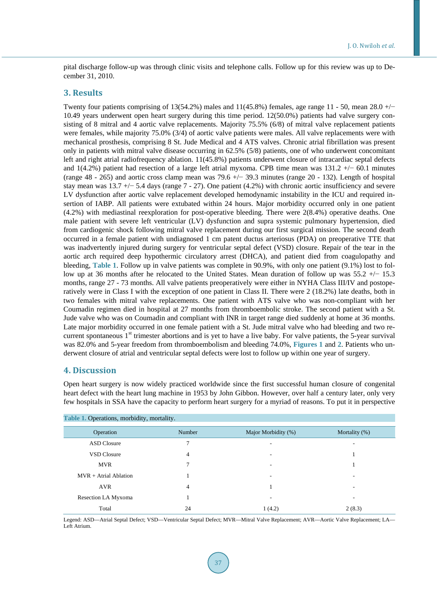pital discharge follow-up was through clinic visits and telephone calls. Follow up for this review was up to December 31, 2010.

#### **3. Results**

Twenty four patients comprising of 13(54.2%) males and 11(45.8%) females, age range 11 - 50, mean  $28.0 +/-$ 10.49 years underwent open heart surgery during this time period. 12(50.0%) patients had valve surgery consisting of 8 mitral and 4 aortic valve replacements. Majority 75.5% (6/8) of mitral valve replacement patients were females, while majority 75.0% (3/4) of aortic valve patients were males. All valve replacements were with mechanical prosthesis, comprising 8 St. Jude Medical and 4 ATS valves. Chronic atrial fibrillation was present only in patients with mitral valve disease occurring in 62.5% (5/8) patients, one of who underwent concomitant left and right atrial radiofrequency ablation. 11(45.8%) patients underwent closure of intracardiac septal defects and 1(4.2%) patient had resection of a large left atrial myxoma. CPB time mean was 131.2 +/− 60.1 minutes (range 48 - 265) and aortic cross clamp mean was 79.6 +/− 39.3 minutes (range 20 - 132). Length of hospital stay mean was 13.7 +/− 5.4 days (range 7 - 27). One patient (4.2%) with chronic aortic insufficiency and severe LV dysfunction after aortic valve replacement developed hemodynamic instability in the ICU and required insertion of IABP. All patients were extubated within 24 hours. Major morbidity occurred only in one patient (4.2%) with mediastinal reexploration for post-operative bleeding. There were 2(8.4%) operative deaths. One male patient with severe left ventricular (LV) dysfunction and supra systemic pulmonary hypertension, died from cardiogenic shock following mitral valve replacement during our first surgical mission. The second death occurred in a female patient with undiagnosed 1 cm patent ductus arteriosus (PDA) on preoperative TTE that was inadvertently injured during surgery for ventricular septal defect (VSD) closure. Repair of the tear in the aortic arch required deep hypothermic circulatory arrest (DHCA), and patient died from coagulopathy and bleeding, **[Table 1](#page-2-0)**. Follow up in valve patients was complete in 90.9%, with only one patient (9.1%) lost to follow up at 36 months after he relocated to the United States. Mean duration of follow up was 55.2 +/− 15.3 months, range 27 - 73 months. All valve patients preoperatively were either in NYHA Class III/IV and postoperatively were in Class I with the exception of one patient in Class II. There were 2 (18.2%) late deaths, both in two females with mitral valve replacements. One patient with ATS valve who was non-compliant with her Coumadin regimen died in hospital at 27 months from thromboembolic stroke. The second patient with a St. Jude valve who was on Coumadin and compliant with INR in target range died suddenly at home at 36 months. Late major morbidity occurred in one female patient with a St. Jude mitral valve who had bleeding and two recurrent spontaneous  $1<sup>st</sup>$  trimester abortions and is yet to have a live baby. For valve patients, the 5-year survival was 82.0% and 5-year freedom from thromboembolism and bleeding 74.0%, **[Figures 1](#page-3-0)** and **[2](#page-3-1)**. Patients who underwent closure of atrial and ventricular septal defects were lost to follow up within one year of surgery.

## **4. Discussion**

Open heart surgery is now widely practiced worldwide since the first successful human closure of congenital heart defect with the heart lung machine in 1953 by John Gibbon. However, over half a century later, only very few hospitals in SSA have the capacity to perform heart surgery for a myriad of reasons. To put it in perspective

<span id="page-2-0"></span>

| Table 1. Operations, morbidity, mortality. |        |                          |                          |
|--------------------------------------------|--------|--------------------------|--------------------------|
| Operation                                  | Number | Major Morbidity (%)      | Mortality (%)            |
| <b>ASD</b> Closure                         |        |                          | $\overline{\phantom{a}}$ |
| <b>VSD Closure</b>                         | 4      | $\overline{\phantom{a}}$ |                          |
| <b>MVR</b>                                 |        | ٠                        |                          |
| $MVR + Artificial Ablation$                |        | ۰                        |                          |
| AVR                                        | 4      |                          | ٠                        |
| Resection LA Myxoma                        |        | -                        | $\overline{\phantom{a}}$ |
| Total                                      | 24     | 1(4.2)                   | 2(8.3)                   |

Legend: ASD—Atrial Septal Defect; VSD—Ventricular Septal Defect; MVR—Mitral Valve Replacement; AVR—Aortic Valve Replacement; LA— Left Atrium.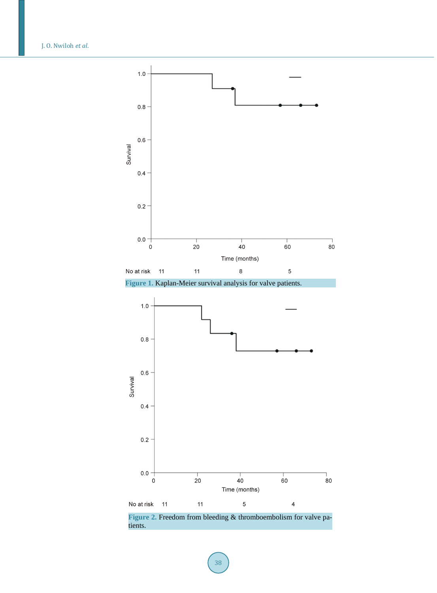<span id="page-3-0"></span>J. O. Nwiloh *et al*.



**Figure 1.** Kaplan-Meier survival analysis for valve patients.

<span id="page-3-1"></span>

**Figure 2.** Freedom from bleeding & thromboembolism for valve patients.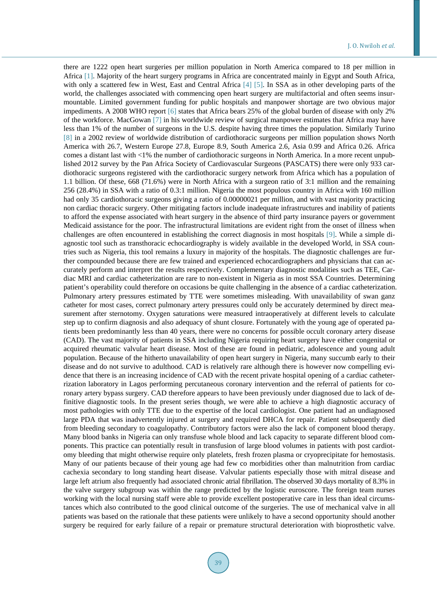there are 1222 open heart surgeries per million population in North America compared to 18 per million in Africa [\[1\].](#page-6-0) Majority of the heart surgery programs in Africa are concentrated mainly in Egypt and South Africa, with only a scattered few in West, East and Central Africa [\[4\]](#page-6-3) [\[5\].](#page-6-4) In SSA as in other developing parts of the world, the challenges associated with commencing open heart surgery are multifactorial and often seems insurmountable. Limited government funding for public hospitals and manpower shortage are two obvious major impediments. A 2008 WHO report [\[6\]](#page-6-5) states that Africa bears 25% of the global burden of disease with only 2% of the workforce. MacGowan [\[7\]](#page-6-6) in his worldwide review of surgical manpower estimates that Africa may have less than 1% of the number of surgeons in the U.S. despite having three times the population. Similarly Turino [\[8\]](#page-6-7) in a 2002 review of worldwide distribution of cardiothoracic surgeons per million population shows North America with 26.7, Western Europe 27.8, Europe 8.9, South America 2.6, Asia 0.99 and Africa 0.26. Africa comes a distant last with <1% the number of cardiothoracic surgeons in North America. In a more recent unpublished 2012 survey by the Pan Africa Society of Cardiovascular Surgeons (PASCATS) there were only 933 cardiothoracic surgeons registered with the cardiothoracic surgery network from Africa which has a population of 1.1 billion. Of these, 668 (71.6%) were in North Africa with a surgeon ratio of 3:1 million and the remaining 256 (28.4%) in SSA with a ratio of 0.3:1 million. Nigeria the most populous country in Africa with 160 million had only 35 cardiothoracic surgeons giving a ratio of 0.00000021 per million, and with vast majority practicing non cardiac thoracic surgery. Other mitigating factors include inadequate infrastructures and inability of patients to afford the expense associated with heart surgery in the absence of third party insurance payers or government Medicaid assistance for the poor. The infrastructural limitations are evident right from the onset of illness when challenges are often encountered in establishing the correct diagnosis in most hospitals [\[9\].](#page-6-8) While a simple diagnostic tool such as transthoracic echocardiography is widely available in the developed World, in SSA countries such as Nigeria, this tool remains a luxury in majority of the hospitals. The diagnostic challenges are further compounded because there are few trained and experienced echocardiographers and physicians that can accurately perform and interpret the results respectively. Complementary diagnostic modalities such as TEE, Cardiac MRI and cardiac catheterization are rare to non-existent in Nigeria as in most SSA Countries. Determining patient's operability could therefore on occasions be quite challenging in the absence of a cardiac catheterization. Pulmonary artery pressures estimated by TTE were sometimes misleading. With unavailability of swan ganz catheter for most cases, correct pulmonary artery pressures could only be accurately determined by direct measurement after sternotomy. Oxygen saturations were measured intraoperatively at different levels to calculate step up to confirm diagnosis and also adequacy of shunt closure. Fortunately with the young age of operated patients been predominantly less than 40 years, there were no concerns for possible occult coronary artery disease (CAD). The vast majority of patients in SSA including Nigeria requiring heart surgery have either congenital or acquired rheumatic valvular heart disease. Most of these are found in pediatric, adolescence and young adult population. Because of the hitherto unavailability of open heart surgery in Nigeria, many succumb early to their disease and do not survive to adulthood. CAD is relatively rare although there is however now compelling evidence that there is an increasing incidence of CAD with the recent private hospital opening of a cardiac catheterrization laboratory in Lagos performing percutaneous coronary intervention and the referral of patients for coronary artery bypass surgery. CAD therefore appears to have been previously under diagnosed due to lack of definitive diagnostic tools. In the present series though, we were able to achieve a high diagnostic accuracy of most pathologies with only TTE due to the expertise of the local cardiologist. One patient had an undiagnosed large PDA that was inadvertently injured at surgery and required DHCA for repair. Patient subsequently died from bleeding secondary to coagulopathy. Contributory factors were also the lack of component blood therapy. Many blood banks in Nigeria can only transfuse whole blood and lack capacity to separate different blood components. This practice can potentially result in transfusion of large blood volumes in patients with post cardiotomy bleeding that might otherwise require only platelets, fresh frozen plasma or cryoprecipitate for hemostasis. Many of our patients because of their young age had few co morbidities other than malnutrition from cardiac cachexia secondary to long standing heart disease. Valvular patients especially those with mitral disease and large left atrium also frequently had associated chronic atrial fibrillation. The observed 30 days mortality of 8.3% in the valve surgery subgroup was within the range predicted by the logistic euroscore. The foreign team nurses working with the local nursing staff were able to provide excellent postoperative care in less than ideal circumstances which also contributed to the good clinical outcome of the surgeries. The use of mechanical valve in all patients was based on the rationale that these patients were unlikely to have a second opportunity should another surgery be required for early failure of a repair or premature structural deterioration with bioprosthetic valve.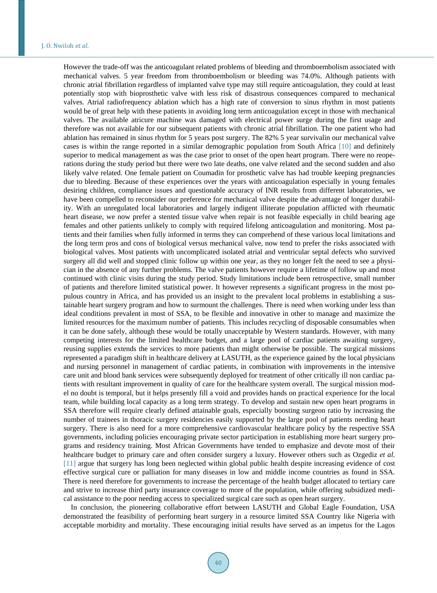However the trade-off was the anticoagulant related problems of bleeding and thromboembolism associated with mechanical valves. 5 year freedom from thromboembolism or bleeding was 74.0%. Although patients with chronic atrial fibrillation regardless of implanted valve type may still require anticoagulation, they could at least potentially stop with bioprosthetic valve with less risk of disastrous consequences compared to mechanical valves. Atrial radiofrequency ablation which has a high rate of conversion to sinus rhythm in most patients would be of great help with these patients in avoiding long term anticoagulation except in those with mechanical valves. The available atricure machine was damaged with electrical power surge during the first usage and therefore was not available for our subsequent patients with chronic atrial fibrillation. The one patient who had ablation has remained in sinus rhythm for 5 years post surgery. The 82% 5 year survivalin our mechanical valve cases is within the range reported in a similar demographic population from South Africa [\[10\]](#page-6-9) and definitely superior to medical management as was the case prior to onset of the open heart program. There were no reoperations during the study period but there were two late deaths, one valve related and the second sudden and also likely valve related. One female patient on Coumadin for prosthetic valve has had trouble keeping pregnancies due to bleeding. Because of these experiences over the years with anticoagulation especially in young females desiring children, compliance issues and questionable accuracy of INR results from different laboratories, we have been compelled to reconsider our preference for mechanical valve despite the advantage of longer durability. With an unregulated local laboratories and largely indigent illiterate population afflicted with rheumatic heart disease, we now prefer a stented tissue valve when repair is not feasible especially in child bearing age females and other patients unlikely to comply with required lifelong anticoagulation and monitoring. Most patients and their families when fully informed in terms they can comprehend of these various local limitations and the long term pros and cons of biological versus mechanical valve, now tend to prefer the risks associated with biological valves. Most patients with uncomplicated isolated atrial and ventricular septal defects who survived surgery all did well and stopped clinic follow up within one year, as they no longer felt the need to see a physician in the absence of any further problems. The valve patients however require a lifetime of follow up and most continued with clinic visits during the study period. Study limitations include been retrospective, small number of patients and therefore limited statistical power. It however represents a significant progress in the most populous country in Africa, and has provided us an insight to the prevalent local problems in establishing a sustainable heart surgery program and how to surmount the challenges. There is need when working under less than ideal conditions prevalent in most of SSA, to be flexible and innovative in other to manage and maximize the limited resources for the maximum number of patients. This includes recycling of disposable consumables when it can be done safely, although these would be totally unacceptable by Western standards. However, with many competing interests for the limited healthcare budget, and a large pool of cardiac patients awaiting surgery, reusing supplies extends the services to more patients than might otherwise be possible. The surgical missions represented a paradigm shift in healthcare delivery at LASUTH, as the experience gained by the local physicians and nursing personnel in management of cardiac patients, in combination with improvements in the intensive care unit and blood bank services were subsequently deployed for treatment of other critically ill non cardiac patients with resultant improvement in quality of care for the healthcare system overall. The surgical mission model no doubt is temporal, but it helps presently fill a void and provides hands on practical experience for the local team, while building local capacity as a long term strategy. To develop and sustain new open heart programs in SSA therefore will require clearly defined attainable goals, especially boosting surgeon ratio by increasing the number of trainees in thoracic surgery residencies easily supported by the large pool of patients needing heart surgery. There is also need for a more comprehensive cardiovascular healthcare policy by the respective SSA governments, including policies encouraging private sector participation in establishing more heart surgery programs and residency training. Most African Governments have tended to emphasize and devote most of their healthcare budget to primary care and often consider surgery a luxury. However others such as Ozgediz *et al*. [\[11\]](#page-6-10) argue that surgery has long been neglected within global public health despite increasing evidence of cost effective surgical cure or palliation for many diseases in low and middle income countries as found in SSA. There is need therefore for governments to increase the percentage of the health budget allocated to tertiary care and strive to increase third party insurance coverage to more of the population, while offering subsidized medical assistance to the poor needing access to specialized surgical care such as open heart surgery.

In conclusion, the pioneering collaborative effort between LASUTH and Global Eagle Foundation, USA demonstrated the feasibility of performing heart surgery in a resource limited SSA Country like Nigeria with acceptable morbidity and mortality. These encouraging initial results have served as an impetus for the Lagos